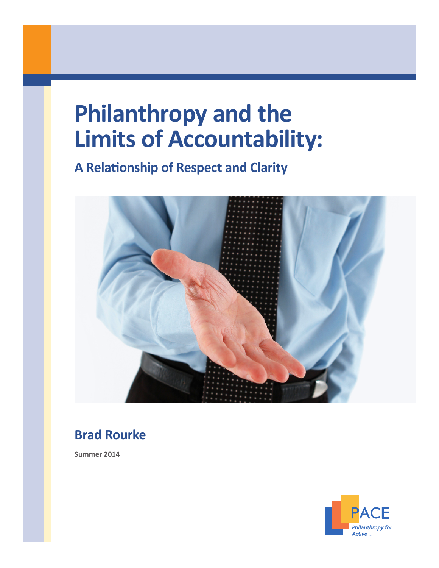# **Philanthropy and the Limits of Accountability:**

**A Relationship of Respect and Clarity**



# **Brad Rourke**

**Summer 2014**



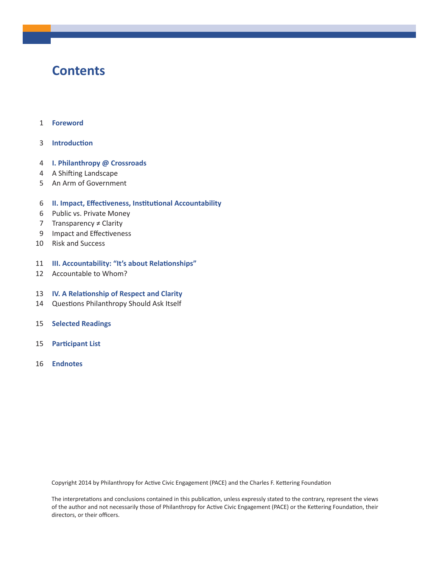### **Contents**

- 1 **Foreword**
- 3 **Introduction**
- 4 **I. Philanthropy @ Crossroads**
- 4 A Shifting Landscape
- 5 An Arm of Government
- 6 **II. Impact, Effectiveness, Institutional Accountability**
- 6 Public vs. Private Money
- 7 Transparency ≠ Clarity
- 9 Impact and Effectiveness
- 10 Risk and Success
- 11 **III. Accountability: "It's about Relationships"**
- 12 Accountable to Whom?
- 13 **IV. A Relationship of Respect and Clarity**
- 14 Questions Philanthropy Should Ask Itself
- 15 **Selected Readings**
- 15 **Participant List**
- 16 **Endnotes**

Copyright 2014 by Philanthropy for Active Civic Engagement (PACE) and the Charles F. Kettering Foundation

The interpretations and conclusions contained in this publication, unless expressly stated to the contrary, represent the views of the author and not necessarily those of Philanthropy for Active Civic Engagement (PACE) or the Kettering Foundation, their directors, or their officers.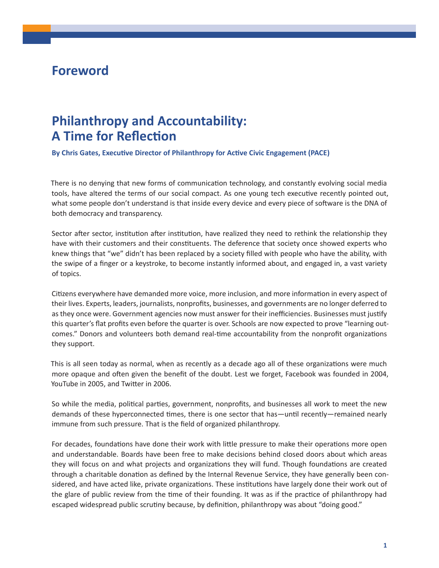### **Foreword**

### **Philanthropy and Accountability: A Time for Reflection**

**By Chris Gates, Executive Director of Philanthropy for Active Civic Engagement (PACE)**

There is no denying that new forms of communication technology, and constantly evolving social media tools, have altered the terms of our social compact. As one young tech executive recently pointed out, what some people don't understand is that inside every device and every piece of software is the DNA of both democracy and transparency.

Sector after sector, institution after institution, have realized they need to rethink the relationship they have with their customers and their constituents. The deference that society once showed experts who knew things that "we" didn't has been replaced by a society filled with people who have the ability, with the swipe of a finger or a keystroke, to become instantly informed about, and engaged in, a vast variety of topics.

Citizens everywhere have demanded more voice, more inclusion, and more information in every aspect of their lives. Experts, leaders, journalists, nonprofits, businesses, and governments are no longer deferred to asthey once were. Government agencies now must answer for their inefficiencies. Businesses must justify this quarter's flat profits even before the quarter is over. Schools are now expected to prove "learning outcomes." Donors and volunteers both demand real-time accountability from the nonprofit organizations they support.

This is all seen today as normal, when as recently as a decade ago all of these organizations were much more opaque and often given the benefit of the doubt. Lest we forget, Facebook was founded in 2004, YouTube in 2005, and Twitter in 2006.

So while the media, political parties, government, nonprofits, and businesses all work to meet the new demands of these hyperconnected times, there is one sector that has—until recently—remained nearly immune from such pressure. That is the field of organized philanthropy.

For decades, foundations have done their work with little pressure to make their operations more open and understandable. Boards have been free to make decisions behind closed doors about which areas they will focus on and what projects and organizations they will fund. Though foundations are created through a charitable donation as defined by the Internal Revenue Service, they have generally been considered, and have acted like, private organizations. These institutions have largely done their work out of the glare of public review from the time of their founding. It was as if the practice of philanthropy had escaped widespread public scrutiny because, by definition, philanthropy was about "doing good."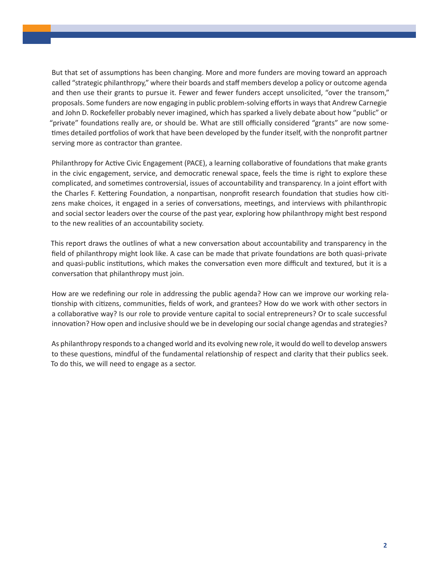But that set of assumptions has been changing. More and more funders are moving toward an approach called "strategic philanthropy," where their boards and staff members develop a policy or outcome agenda and then use their grants to pursue it. Fewer and fewer funders accept unsolicited, "over the transom," proposals. Some funders are now engaging in public problem-solving effortsin waysthat Andrew Carnegie and John D. Rockefeller probably never imagined, which has sparked a lively debate about how "public" or "private" foundations really are, or should be. What are still officially considered "grants" are now sometimes detailed portfolios of work that have been developed by the funder itself, with the nonprofit partner serving more as contractor than grantee.

Philanthropy for Active Civic Engagement (PACE), a learning collaborative of foundations that make grants in the civic engagement, service, and democratic renewal space, feels the time is right to explore these complicated, and sometimes controversial, issues of accountability and transparency. In a joint effort with the Charles F. Kettering Foundation, a nonpartisan, nonprofit research foundation that studies how citizens make choices, it engaged in a series of conversations, meetings, and interviews with philanthropic and social sector leaders over the course of the past year, exploring how philanthropy might best respond to the new realities of an accountability society.

This report draws the outlines of what a new conversation about accountability and transparency in the field of philanthropy might look like. A case can be made that private foundations are both quasi-private and quasi-public institutions, which makes the conversation even more difficult and textured, but it is a conversation that philanthropy must join.

How are we redefining our role in addressing the public agenda? How can we improve our working relationship with citizens, communities, fields of work, and grantees? How do we work with other sectors in a collaborative way? Is our role to provide venture capital to social entrepreneurs? Or to scale successful innovation? How open and inclusive should we be in developing oursocial change agendas and strategies?

As philanthropy responds to a changed world and its evolving new role, it would do well to develop answers to these questions, mindful of the fundamental relationship of respect and clarity that their publics seek. To do this, we will need to engage as a sector.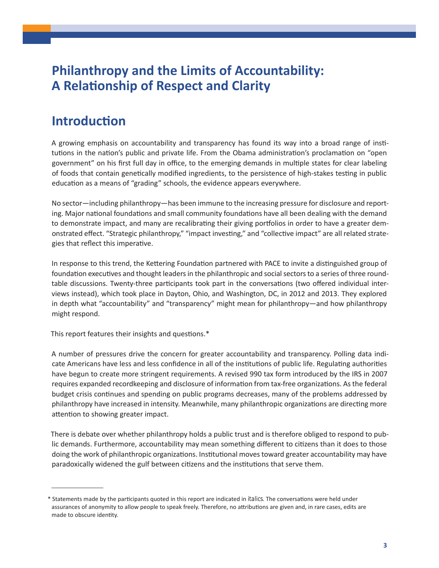### **Philanthropy and the Limits of Accountability: A Relationship of Respect and Clarity**

### **Introduction**

A growing emphasis on accountability and transparency has found its way into a broad range of institutions in the nation's public and private life. From the Obama administration's proclamation on "open government" on his first full day in office, to the emerging demands in multiple states for clear labeling of foods that contain genetically modified ingredients, to the persistence of high-stakes testing in public education as a means of "grading" schools, the evidence appears everywhere.

No sector—including philanthropy—has been immune to the increasing pressure for disclosure and reporting. Major national foundations and small community foundations have all been dealing with the demand to demonstrate impact, and many are recalibrating their giving portfolios in order to have a greater demonstrated effect. "Strategic philanthropy," "impact investing," and "collective impact" are all related strategies that reflect this imperative.

In response to this trend, the Kettering Foundation partnered with PACE to invite a distinguished group of foundation executives and thought leaders in the philanthropic and social sectors to a series of three roundtable discussions. Twenty-three participants took part in the conversations (two offered individual interviews instead), which took place in Dayton, Ohio, and Washington, DC, in 2012 and 2013. They explored in depth what "accountability" and "transparency" might mean for philanthropy—and how philanthropy might respond.

This report features their insights and questions.\*

A number of pressures drive the concern for greater accountability and transparency. Polling data indicate Americans have less and less confidence in all of the institutions of public life. Regulating authorities have begun to create more stringent requirements. A revised 990 tax form introduced by the IRS in 2007 requires expanded recordkeeping and disclosure of information from tax-free organizations. Asthe federal budget crisis continues and spending on public programs decreases, many of the problems addressed by philanthropy have increased in intensity. Meanwhile, many philanthropic organizations are directing more attention to showing greater impact.

There is debate over whether philanthropy holds a public trust and is therefore obliged to respond to public demands. Furthermore, accountability may mean something different to citizens than it does to those doing the work of philanthropic organizations. Institutional moves toward greater accountability may have paradoxically widened the gulf between citizens and the institutions that serve them.

<sup>\*</sup> Statements made by the participants quoted in this report are indicated in *italics*. The conversations were held under assurances of anonymity to allow people to speak freely. Therefore, no attributions are given and, in rare cases, edits are made to obscure identity.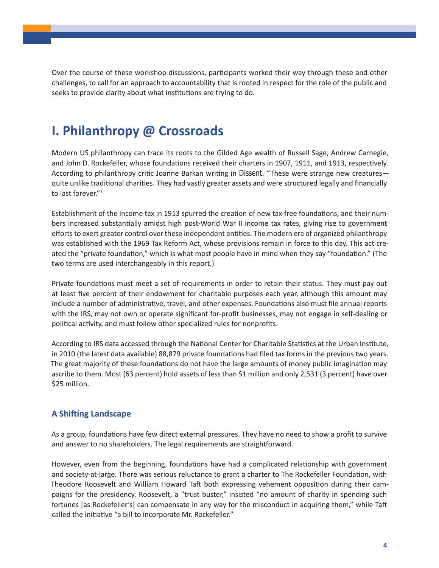Over the course of these workshop discussions, participants worked their way through these and other challenges, to call for an approach to accountability that is rooted in respect for the role of the public and seeks to provide clarity about what institutions are trying to do.

# **I. Philanthropy @ Crossroads**

Modern US philanthropy can trace its roots to the Gilded Age wealth of Russell Sage, Andrew Carnegie, and John D. Rockefeller, whose foundations received their charters in 1907, 1911, and 1913, respectively. According to philanthropy critic Joanne Barkan writing in *Dissent,* "These were strange new creatures quite unlike traditional charities. They had vastly greater assets and were structured legally and financially to last forever."<sup>1</sup>

Establishment of the income tax in 1913 spurred the creation of new tax-free foundations, and their numbers increased substantially amidst high post-World War II income tax rates, giving rise to government efforts to exert greater control over these independent entities. The modern era of organized philanthropy was established with the 1969 Tax Reform Act, whose provisions remain in force to this day. This act created the "private foundation," which is what most people have in mind when they say "foundation." (The two terms are used interchangeably in this report.)

Private foundations must meet a set of requirements in order to retain their status. They must pay out at least five percent of their endowment for charitable purposes each year, although this amount may include a number of administrative, travel, and other expenses. Foundations also must file annual reports with the IRS, may not own or operate significant for-profit businesses, may not engage in self-dealing or political activity, and must follow other specialized rules for nonprofits.

According to IRS data accessed through the National Center for Charitable Statistics at the Urban Institute, in 2010 (the latest data available) 88,879 private foundations had filed tax forms in the previous two years. The great majority of these foundations do not have the large amounts of money public imagination may ascribe to them. Most (63 percent) hold assets of less than \$1 million and only 2,531 (3 percent) have over \$25 million.

#### **A Shifting Landscape**

As a group, foundations have few direct external pressures. They have no need to show a profit to survive and answer to no shareholders. The legal requirements are straightforward.

However, even from the beginning, foundations have had a complicated relationship with government and society-at-large. There was serious reluctance to grant a charter to The Rockefeller Foundation, with Theodore Roosevelt and William Howard Taft both expressing vehement opposition during their campaigns for the presidency. Roosevelt, a "trust buster," insisted "no amount of charity in spending such fortunes [as Rockefeller's] can compensate in any way for the misconduct in acquiring them," while Taft called the initiative "a bill to incorporate Mr. Rockefeller."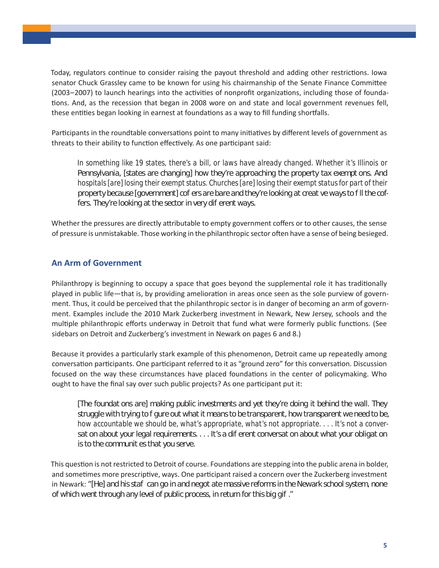Today, regulators continue to consider raising the payout threshold and adding other restrictions. Iowa senator Chuck Grassley came to be known for using his chairmanship of the Senate Finance Committee (2003–2007) to launch hearings into the activities of nonprofit organizations, including those of foundations. And, as the recession that began in 2008 wore on and state and local government revenues fell, these entities began looking in earnest at foundations as a way to fill funding shortfalls.

Participants in the roundtable conversations point to many initiatives by different levels of government as threats to their ability to function effectively. As one participant said:

*In something like 19 states, there's a bill, or laws have already changed. Whether it's Illinois or*  Pennsylvania, [states are changing] how they're approaching the property tax exempt ons. And *hospitals [are] losing their exempt status. Churches [are] losing their exempt status for part of their*  property because [government] cof ers are bare and they're looking at creat ve ways to fill the coffers. They're looking at the sector in very dif erent ways.

Whether the pressures are directly attributable to empty government coffers or to other causes, the sense of pressure is unmistakable. Those working in the philanthropic sector often have a sense of being besieged.

#### **An Arm of Government**

Philanthropy is beginning to occupy a space that goes beyond the supplemental role it has traditionally played in public life—that is, by providing amelioration in areas once seen as the sole purview of government. Thus, it could be perceived that the philanthropic sector is in danger of becoming an arm of government. Examples include the 2010 Mark Zuckerberg investment in Newark, New Jersey, schools and the multiple philanthropic efforts underway in Detroit that fund what were formerly public functions. (See sidebars on Detroit and Zuckerberg's investment in Newark on pages 6 and 8.)

Because it provides a particularly stark example of this phenomenon, Detroit came up repeatedly among conversation participants. One participant referred to it as "ground zero" for this conversation. Discussion focused on the way these circumstances have placed foundations in the center of policymaking. Who ought to have the final say over such public projects? As one participant put it:

*[The foundat ons are] making public investments and yet they're doing it behind the wall. They struggle with trying to figure out what it means to be transparent, how transparent we need to be, how accountable we should be, what's appropriate, what's not appropriate. . . . It's not a conver*sat on about your legal requirements. . . . It's a different conversation about what your obligation *is to the communit es that you serve.* 

This question is not restricted to Detroit of course. Foundations are stepping into the public arena in bolder, and sometimes more prescriptive, ways. One participant raised a concern over the Zuckerberg investment in Newark: "[He] and his staf can go in and negot ate massive reforms in the Newark school system, none *of which went through any level of public process, in return for this big gift."*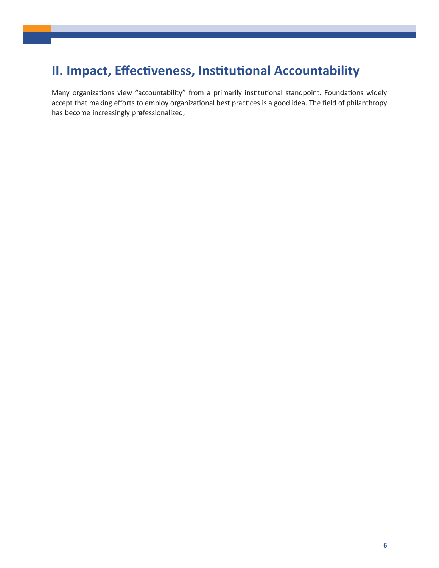# **II. Impact, Effectiveness, Institutional Accountability**

Many organizations view "accountability" from a primarily institutional standpoint. Foundations widely accept that making efforts to employ organizational best practices is a good idea. The field of philanthropy has become increasingly professionatized, opy that g be  $\sf t$  $\overline{?}$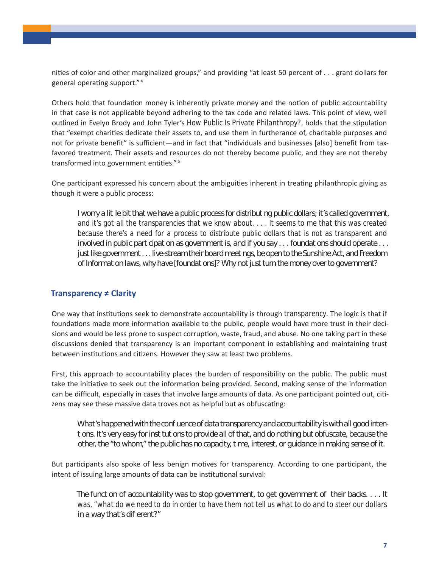nities of color and other marginalized groups," and providing "at least 50 percent of . . . grant dollars for general operating support." <sup>4</sup>

Others hold that foundation money is inherently private money and the notion of public accountability in that case is not applicable beyond adhering to the tax code and related laws. This point of view, well outlined in Evelyn Brody and John Tyler's *How Public Is Private Philanthropy?,* holds that the stipulation that "exempt charities dedicate their assets to, and use them in furtherance of, charitable purposes and not for private benefit" is sufficient—and in fact that "individuals and businesses [also] benefit from taxfavored treatment. Their assets and resources do not thereby become public, and they are not thereby transformed into government entities." <sup>5</sup>

One participant expressed his concern about the ambiguities inherent in treating philanthropic giving as though it were a public process:

*I worry a lit le bit that we have a public process for distribut ng public dollars; it's called government, and it's got all the transparencies that we know about. . . . It seems to me that this was created because there's a need for a process to distribute public dollars that is not as transparent and involved in public part cipat on as government is, and if you say . . . foundat ons should operate . . . just like government . . . live-stream their board meet ngs, be open to the Sunshine Act, and Freedom* of Informat on laws, why have [foundat ons]? Why not just turn the money over to government?

#### **Transparency ≠ Clarity**

One way that institutions seek to demonstrate accountability is through *transparency*. The logic is that if foundations made more information available to the public, people would have more trust in their decisions and would be less prone to suspect corruption, waste, fraud, and abuse. No one taking part in these discussions denied that transparency is an important component in establishing and maintaining trust between institutions and citizens. However they saw at least two problems.

First, this approach to accountability places the burden of responsibility on the public. The public must take the initiative to seek out the information being provided. Second, making sense of the information can be difficult, especially in cases that involve large amounts of data. As one participant pointed out, citizens may see these massive data troves not as helpful but as obfuscating:

What's happened with the confuence of data transparency and accountability is with all good intent ons. It's very easy for inst tut ons to provide all of that, and do nothing but obfuscate, because the *other, the "to whom," the public has no capacity, time, interest, or guidance in making sense of it.*

But participants also spoke of less benign motives for transparency. According to one participant, the intent of issuing large amounts of data can be institutional survival:

*The funct on of accountability was to stop government, to get government of their backs... . It was, "what do we need to do in order to have them not tell us what to do and to steer our dollars in a way that's dif erent?"*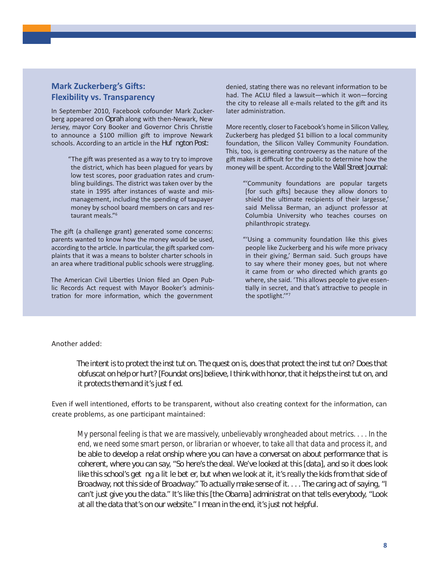#### **Mark Zuckerberg's Gifts: Flexibility vs. Transparency**

In September 2010, Facebook cofounder Mark Zuckerberg appeared on *Oprah* along with then-Newark, New Jersey, mayor Cory Booker and Governor Chris Christie to announce a \$100 million gift to improve Newark schools. According to an article in the *Huf ngton Post:* 

> "The gift was presented as a way to try to improve the district, which has been plagued for years by low test scores, poor graduation rates and crumbling buildings. The district was taken over by the state in 1995 after instances of waste and mismanagement, including the spending of taxpayer money by school board members on cars and restaurant meals."<sup>6</sup>

The gift (a challenge grant) generated some concerns: parents wanted to know how the money would be used, according to the article. In particular, the gift sparked complaints that it was a means to bolster charter schools in an area where traditional public schools were struggling.

The American Civil Liberties Union filed an Open Public Records Act request with Mayor Booker's administration for more information, which the government

denied, stating there was no relevant information to be had. The ACLU filed a lawsuit—which it won—forcing the city to release all e-mails related to the gift and its later administration.

More recently, closerto Facebook's home in Silicon Valley, Zuckerberg has pledged \$1 billion to a local community foundation, the Silicon Valley Community Foundation. This, too, is generating controversy as the nature of the gift makes it difficult for the public to determine how the money will be spent. According to the *Wall Street Journal:*

- "'Community foundations are popular targets [for such gifts] because they allow donors to shield the ultimate recipients of their largesse,' said Melissa Berman, an adjunct professor at Columbia University who teaches courses on philanthropic strategy.
- "'Using a community foundation like this gives people like Zuckerberg and his wife more privacy in their giving,' Berman said. Such groups have to say where their money goes, but not where it came from or who directed which grants go where, she said. 'This allows people to give essentially in secret, and that's attractive to people in the spotlight.'"<sup>7</sup>

#### Another added:

The intent is to protect the institution. The question is, does that protect the institution? Does that *obfuscation help or hurt? [Foundations] believe, I think with honor, that it helps the institution, and it protects them and it's just fed.* 

Even if well intentioned, efforts to be transparent, without also creating context for the information, can create problems, as one participant maintained:

*My personal feeling is that we are massively, unbelievably wrongheaded about metrics. . . . In the end, we need some smart person, or librarian or whoever, to take all that data and process it, and*  be able to develop a relationship where you can have a conversation about performance that is *coherent, where you can say, "So here's the deal. We've looked at this [data], and so it does look*  like this school's geting a lit le bet er, but when we look at it, it's really the kids from that side of *Broadway, not this side of Broadway." To actually make sense of it. . . . The caring act of saying, "I can't just give you the data." It's like this [the Obama] administration that tells everybody, "Look at all the data that's on our website." I mean in the end, it's just not helpful.*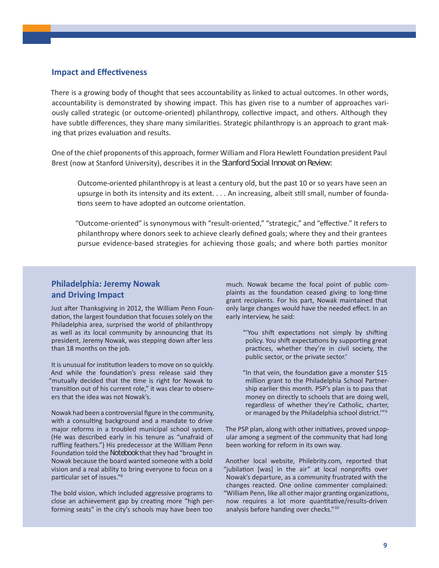#### **Impact and Effectiveness**

There is a growing body of thought that sees accountability as linked to actual outcomes. In other words, accountability is demonstrated by showing impact. This has given rise to a number of approaches variously called strategic (or outcome-oriented) philanthropy, collective impact, and others. Although they have subtle differences, they share many similarities. Strategic philanthropy is an approach to grant making that prizes evaluation and results.

One of the chief proponents of this approach, former William and Flora Hewlett Foundation president Paul Brest (now at Stanford University), describes it in the *Stanford Social Innovat on Review*.

Outcome-oriented philanthropy is at least a century old, but the past 10 or so years have seen an upsurge in both its intensity and its extent. . . . An increasing, albeit still small, number of foundations seem to have adopted an outcome orientation.

"Outcome-oriented" issynonymous with "result-oriented," "strategic," and "effective." It refersto philanthropy where donors seek to achieve clearly defined goals; where they and their grantees pursue evidence-based strategies for achieving those goals; and where both parties monitor

#### **Philadelphia: Jeremy Nowak and Driving Impact**

Just after Thanksgiving in 2012, the William Penn Foundation, the largest foundation that focuses solely on the Philadelphia area, surprised the world of philanthropy as well as its local community by announcing that its president, Jeremy Nowak, was stepping down after less than 18 months on the job.

It is unusual for institution leaders to move on so quickly. And while the foundation's press release said they "mutually decided that the time is right for Nowak to transition out of his current role," it was clear to observers that the idea was not Nowak's.

Nowak had been a controversial figure in the community, with a consulting background and a mandate to drive major reforms in a troubled municipal school system. (He was described early in his tenure as "unafraid of ruffling feathers.") His predecessor at the William Penn Foundation told the *Notebook* that they had "brought in Nowak because the board wanted someone with a bold vision and a real ability to bring everyone to focus on a particular set of issues."8

The bold vision, which included aggressive programs to close an achievement gap by creating more "high performing seats" in the city's schools may have been too

much. Nowak became the focal point of public complaints as the foundation ceased giving to long-time grant recipients. For his part, Nowak maintained that only large changes would have the needed effect. In an early interview, he said:

- "'You shift expectations not simply by shifting policy. You shift expectations by supporting great practices, whether they're in civil society, the public sector, or the private sector.'
- "In that vein, the foundation gave a monster \$15 million grant to the Philadelphia School Partnership earlier this month. PSP's plan is to pass that money on directly to schools that are doing well, regardless of whether they're Catholic, charter, or managed by the Philadelphia school district.'"<sup>9</sup>

The PSP plan, along with other initiatives, proved unpopular among a segment of the community that had long been working for reform in its own way.

Another local website, Philebrity.com, reported that "jubilation [was] in the air" at local nonprofits over Nowak's departure, as a community frustrated with the changes reacted. One online commenter complained: "William Penn, like all other major granting organizations, now requires a lot more quantitative/results-driven analysis before handing over checks."<sup>10</sup>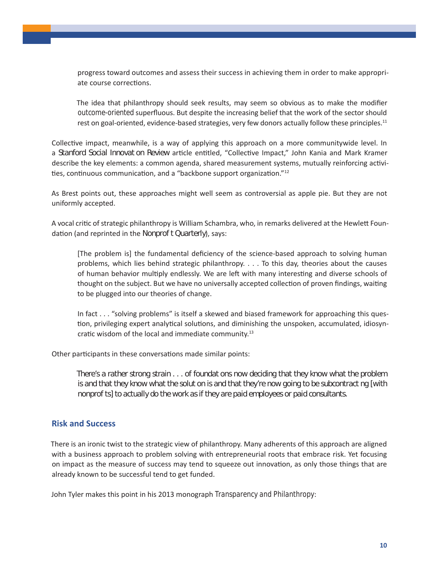progress toward outcomes and assess their success in achieving them in order to make appropriate course corrections.

The idea that philanthropy should seek results, may seem so obvious as to make the modifier *outcome-oriented* superfluous. But despite the increasing belief that the work of the sector should rest on goal-oriented, evidence-based strategies, very few donors actually follow these principles.<sup>11</sup>

Collective impact, meanwhile, is a way of applying this approach on a more communitywide level. In a *Stanford Social Innovat on Review* article entitled, "Collective Impact," John Kania and Mark Kramer describe the key elements: a common agenda, shared measurement systems, mutually reinforcing activities, continuous communication, and a "backbone support organization."<sup>12</sup>

As Brest points out, these approaches might well seem as controversial as apple pie. But they are not uniformly accepted.

A vocal critic of strategic philanthropy is William Schambra, who, in remarks delivered at the Hewlett Foundation (and reprinted in the *Nonprof t Quarterly*), says:

[The problem is] the fundamental deficiency of the science-based approach to solving human problems, which lies behind strategic philanthropy. . . . To this day, theories about the causes of human behavior multiply endlessly. We are left with many interesting and diverse schools of thought on the subject. But we have no universally accepted collection of proven findings, waiting to be plugged into our theories of change.

In fact . . . "solving problems" is itself a skewed and biased framework for approaching this question, privileging expert analytical solutions, and diminishing the unspoken, accumulated, idiosyncratic wisdom of the local and immediate community.<sup>13</sup>

Other participants in these conversations made similar points:

*There's a rather strong strain . . . of foundat ons now deciding that they know what the problem is and that they know what the solut on is and that they're now going to be subcontract ng [with nonprofits] to actually do the work as if they are paid employees or paid consultants.*

#### **Risk and Success**

There is an ironic twist to the strategic view of philanthropy. Many adherents of this approach are aligned with a business approach to problem solving with entrepreneurial roots that embrace risk. Yet focusing on impact as the measure of success may tend to squeeze out innovation, as only those things that are already known to be successful tend to get funded.

John Tyler makes this point in his 2013 monograph *Transparency and Philanthropy*: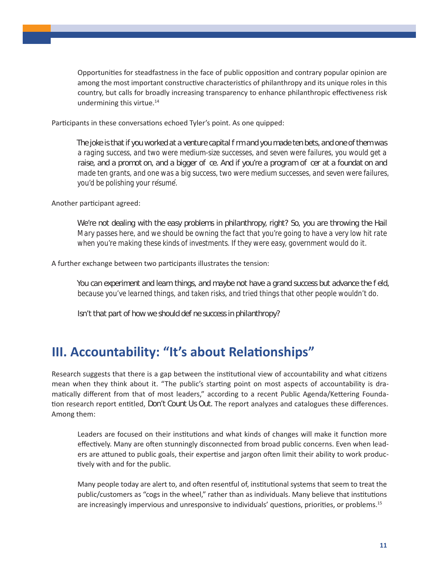Opportunities for steadfastness in the face of public opposition and contrary popular opinion are among the most important constructive characteristics of philanthropy and its unique roles in this country, but calls for broadly increasing transparency to enhance philanthropic effectiveness risk undermining this virtue.<sup>14</sup>

Participants in these conversations echoed Tyler's point. As one quipped:

*The joke is that if you worked at a venture capital firm and you made ten bets, and one of them was a raging success, and two were medium-size successes, and seven were failures, you would get a*  raise, and a promotion, and a bigger of ce. And if you're a program of cer at a foundation and *made ten grants, and one was a big success, two were medium successes, and seven were failures, you'd be polishing your re´sume´.*

Another participant agreed:

*We're not dealing with the easy problems in philanthropy, right? So, you are throwing the Hail Mary passes here, and we should be owning the fact that you're going to have a very low hit rate when you're making these kinds of investments. If they were easy, government would do it.*

A further exchange between two participants illustrates the tension:

*You can experiment and learn things, and maybe not have a grand success but advance the field, because you've learned things, and taken risks, and tried things that other people wouldn't do.* 

*Isn't that part of how we should define success in philanthropy?*

### **III. Accountability: "It's about Relationships"**

Research suggests that there is a gap between the institutional view of accountability and what citizens mean when they think about it. "The public's starting point on most aspects of accountability is dramatically different from that of most leaders," according to a recent Public Agenda/Kettering Foundation research report entitled, *Don't Count Us Out.* The report analyzes and catalogues these differences. Among them:

Leaders are focused on their institutions and what kinds of changes will make it function more effectively. Many are often stunningly disconnected from broad public concerns. Even when leaders are attuned to public goals, their expertise and jargon often limit their ability to work productively with and for the public.

Many people today are alert to, and often resentful of, institutional systems that seem to treat the public/customers as "cogs in the wheel," rather than as individuals. Many believe that institutions are increasingly impervious and unresponsive to individuals' questions, priorities, or problems.<sup>15</sup>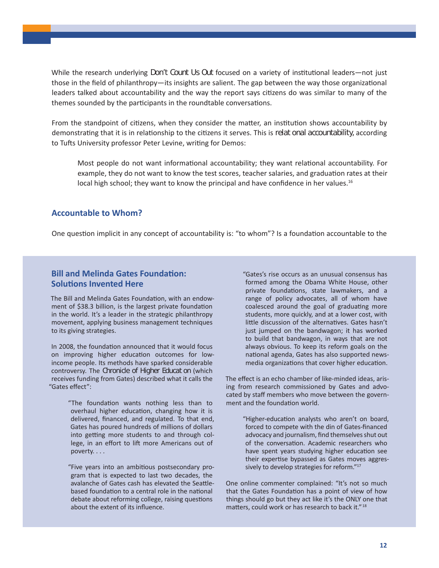While the research underlying *Don't Count Us Out* focused on a variety of institutional leaders—not just those in the field of philanthropy—its insights are salient. The gap between the way those organizational leaders talked about accountability and the way the report says citizens do was similar to many of the themes sounded by the participants in the roundtable conversations.

From the standpoint of citizens, when they consider the matter, an institution shows accountability by demonstrating that it is in relationship to the citizens it serves. This is *relat onal accountability*, according to Tufts University professor Peter Levine, writing for Demos:

Most people do not want informational accountability; they want relational accountability. For example, they do not want to know the test scores, teacher salaries, and graduation rates at their local high school; they want to know the principal and have confidence in her values.<sup>16</sup>

#### **Accountable to Whom?**

One question implicit in any concept of accountability is: "to whom"? Is a foundation accountable to the

#### **Bill and Melinda Gates Foundation: Solutions Invented Here**

The Bill and Melinda Gates Foundation, with an endowment of \$38.3 billion, is the largest private foundation in the world. It's a leader in the strategic philanthropy movement, applying business management techniques to its giving strategies.

In 2008, the foundation announced that it would focus on improving higher education outcomes for lowincome people. Its methods have sparked considerable controversy. The *Chronicle of Higher Education* (which receives funding from Gates) described what it calls the "Gates effect":

> "The foundation wants nothing less than to overhaul higher education, changing how it is delivered, financed, and regulated. To that end, Gates has poured hundreds of millions of dollars into getting more students to and through college, in an effort to lift more Americans out of poverty. . . .

> "Five years into an ambitious postsecondary program that is expected to last two decades, the avalanche of Gates cash has elevated the Seattlebased foundation to a central role in the national debate about reforming college, raising questions about the extent of its influence.

"Gates's rise occurs as an unusual consensus has formed among the Obama White House, other private foundations, state lawmakers, and a range of policy advocates, all of whom have coalesced around the goal of graduating more students, more quickly, and at a lower cost, with little discussion of the alternatives. Gates hasn't just jumped on the bandwagon; it has worked to build that bandwagon, in ways that are not always obvious. To keep its reform goals on the national agenda, Gates has also supported newsmedia organizations that cover higher education.

The effect is an echo chamber of like-minded ideas, arising from research commissioned by Gates and advocated by staff members who move between the government and the foundation world.

> "Higher-education analysts who aren't on board, forced to compete with the din of Gates-financed advocacy and journalism, find themselves shut out of the conversation. Academic researchers who have spent years studying higher education see their expertise bypassed as Gates moves aggressively to develop strategies for reform."<sup>17</sup>

One online commenter complained: "It's not so much that the Gates Foundation has a point of view of how things should go but they act like it's the ONLY one that matters, could work or has research to back it." <sup>18</sup>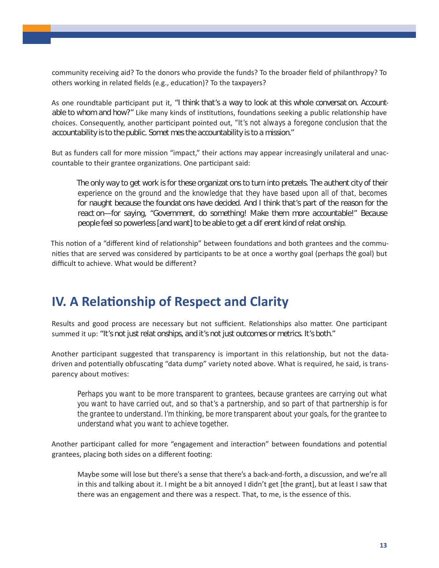community receiving aid? To the donors who provide the funds? To the broader field of philanthropy? To others working in related fields (e.g., education)? To the taxpayers?

As one roundtable participant put it, "I think that's a way to look at this whole conversation. Account*able to whom and how?"* Like many kinds of institutions, foundations seeking a public relationship have choices. Consequently, another participant pointed out, *"It's not always a foregone conclusion that the*  accountability is to the public. Somet mes the accountability is to a mission."

But as funders call for more mission "impact," their actions may appear increasingly unilateral and unaccountable to their grantee organizations. One participant said:

The only way to get work is for these organizations to turn into pretzels. The authenticity of their *experience on the ground and the knowledge that they have based upon all of that, becomes*  for naught because the foundations have decided. And I think that's part of the reason for the react on—for saying, "Government, do something! Make them more accountable!" Because people feel so powerless [and want] to be able to get a dif erent kind of relat onship.

This notion of a "different kind of relationship" between foundations and both grantees and the communities that are served was considered by participants to be at once a worthy goal (perhaps *the* goal) but difficult to achieve. What would be different?

# **IV. A Relationship of Respect and Clarity**

Results and good process are necessary but not sufficient. Relationships also matter. One participant summed it up: "It's not just relat onships, and it's not just outcomes or metrics. It's both."

Another participant suggested that transparency is important in this relationship, but not the datadriven and potentially obfuscating "data dump" variety noted above. What is required, he said, is transparency about motives:

*Perhaps you want to be more transparent to grantees, because grantees are carrying out what you want to have carried out, and so that's a partnership, and so part of that partnership is for the grantee to understand. I'm thinking, be more transparent about your goals, for the grantee to understand what you want to achieve together.*

Another participant called for more "engagement and interaction" between foundations and potential grantees, placing both sides on a different footing:

Maybe some will lose but there's a sense that there's a back-and-forth, a discussion, and we're all in this and talking about it. I might be a bit annoyed I didn't get [the grant], but at least I saw that there was an engagement and there was a respect. That, to me, is the essence of this.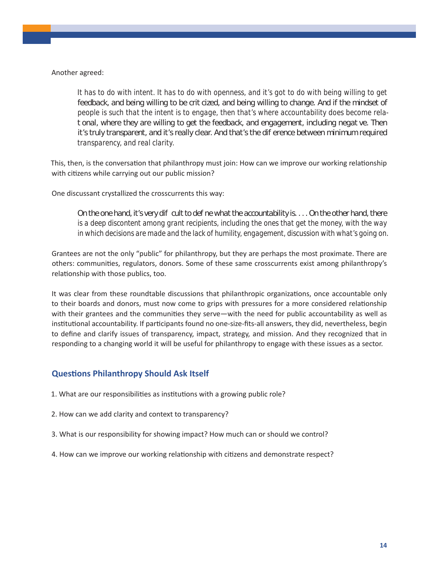Another agreed:

*It has to do with intent. It has to do with openness, and it's got to do with being willing to get feedback, and being willing to be crit cized, and being willing to change. And if the mindset of people is such that the intent is to engage, then that's where accountability does become relational, where they are willing to get the feedback, and engagement, including negative. Then it's truly transparent, and it's really dear. And that's the dif erence between minimum required transparency, and real clarity.*

This, then, is the conversation that philanthropy must join: How can we improve our working relationship with citizens while carrying out our public mission?

One discussant crystallized the crosscurrents this way:

*On the one hand, it's very difficult to define what the accountability is. . . . On the other hand, there is a deep discontent among grant recipients, including the ones that get the money, with the way in which decisions are made and the lack of humility, engagement, discussion with what's going on.* 

Grantees are not the only "public" for philanthropy, but they are perhaps the most proximate. There are others: communities, regulators, donors. Some of these same crosscurrents exist among philanthropy's relationship with those publics, too.

It was clear from these roundtable discussions that philanthropic organizations, once accountable only to their boards and donors, must now come to grips with pressures for a more considered relationship with their grantees and the communities they serve—with the need for public accountability as well as institutional accountability. If participants found no one-size-fits-all answers, they did, nevertheless, begin to define and clarify issues of transparency, impact, strategy, and mission. And they recognized that in responding to a changing world it will be useful for philanthropy to engage with these issues as a sector.

#### **Questions Philanthropy Should Ask Itself**

- 1. What are our responsibilities as institutions with a growing public role?
- 2. How can we add clarity and context to transparency?
- 3. What is our responsibility for showing impact? How much can or should we control?
- 4. How can we improve our working relationship with citizens and demonstrate respect?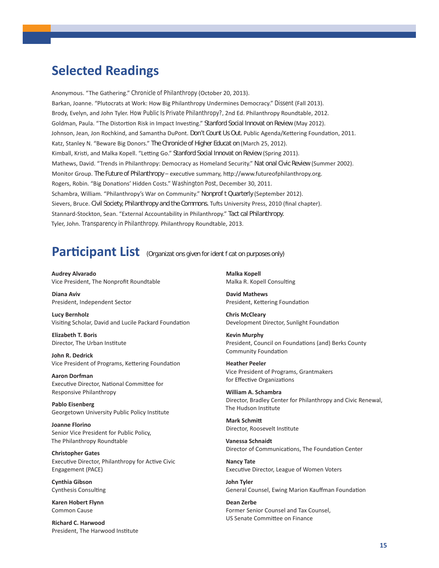### **Selected Readings**

Anonymous. "The Gathering." *Chronicle of Philanthropy* (October 20, 2013). Barkan, Joanne. "Plutocrats at Work: How Big Philanthropy Undermines Democracy." *Dissent* (Fall 2013). Brody, Evelyn, and John Tyler. *How Public Is Private Philanthropy?,* 2nd Ed. Philanthropy Roundtable, 2012. Goldman, Paula. "The Distortion Risk in Impact Investing." *Stanford Social Innovat on Review* (May 2012). Johnson, Jean, Jon Rochkind, and Samantha DuPont. *Don't Count Us Out.* Public Agenda/Kettering Foundation, 2011. Katz, Stanley N. "Beware Big Donors." *The Chronicle of Higher Educat on* (March 25, 2012). Kimball, Kristi, and Malka Kopell. "Letting Go." Stanford Social Innovat on Review (Spring 2011). Mathews, David. "Trends in Philanthropy: Democracy as Homeland Security." Nat onal Civic Review (Summer 2002). Monitor Group. *The Future of Philanthropy* – executive summary, http://www.futureofphilanthropy.org. Rogers, Robin. "Big Donations' Hidden Costs." *Washington Post,* December 30, 2011. Schambra, William. "Philanthropy's War on Community." *Nonprofit Quarterly* (September 2012). Sievers, Bruce. *Civil Society, Philanthropy and the Commons.* Tufts University Press, 2010 (final chapter). Stannard-Stockton, Sean. "External Accountability in Philanthropy." Tact cal Philanthropy. Tyler, John. *Transparency in Philanthropy.* Philanthropy Roundtable, 2013.

# **Participant List** *(Organizations given for ident fication purposes only)*

**Audrey Alvarado** Vice President, The Nonprofit Roundtable

**Diana Aviv** President, Independent Sector

**Lucy Bernholz** Visiting Scholar, David and Lucile Packard Foundation

**Elizabeth T. Boris** Director, The Urban Institute

**John R. Dedrick** Vice President of Programs, Kettering Foundation

**Aaron Dorfman** Executive Director, National Committee for Responsive Philanthropy

**Pablo Eisenberg** Georgetown University Public Policy Institute

**Joanne Florino** Senior Vice President for Public Policy, The Philanthropy Roundtable

**Christopher Gates** Executive Director, Philanthropy for Active Civic Engagement (PACE)

**Cynthia Gibson** Cynthesis Consulting

**Karen Hobert Flynn** Common Cause

**Richard C. Harwood** President, The Harwood Institute **Malka Kopell** Malka R. Kopell Consulting

**David Mathews** President, Kettering Foundation

**Chris McCleary** Development Director, Sunlight Foundation

**Kevin Murphy** President, Council on Foundations (and) Berks County Community Foundation

**Heather Peeler** Vice President of Programs, Grantmakers for Effective Organizations

**William A. Schambra** Director, Bradley Center for Philanthropy and Civic Renewal, The Hudson Institute

**Mark Schmitt** Director, Roosevelt Institute

**Vanessa Schnaidt** Director of Communications, The Foundation Center

**Nancy Tate** Executive Director, League of Women Voters

**John Tyler** General Counsel, Ewing Marion Kauffman Foundation

**Dean Zerbe** Former Senior Counsel and Tax Counsel, US Senate Committee on Finance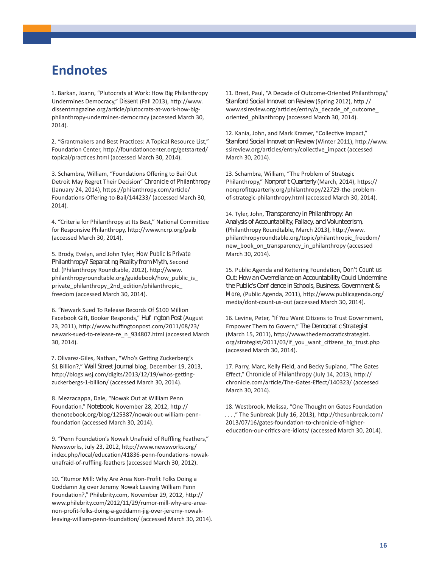### **Endnotes**

1. Barkan, Joann, "Plutocrats at Work: How Big Philanthropy Undermines Democracy," *Dissent* (Fall 2013), http://www. dissentmagazine.org/article/plutocrats-at-work-how-bigphilanthropy-undermines-democracy (accessed March 30, 2014).

2. "Grantmakers and Best Practices: A Topical Resource List," Foundation Center, http://foundationcenter.org/getstarted/ topical/practices.html (accessed March 30, 2014).

3. Schambra, William, "Foundations Offering to Bail Out Detroit May Regret Their Decision" *Chronicle of Philanthropy* (January 24, 2014), https://philanthropy.com/article/ Foundations-Offering-to-Bail/144233/ (accessed March 30, 2014).

4. "Criteria for Philanthropy at Its Best," National Committee for Responsive Philanthropy, http://www.ncrp.org/paib (accessed March 30, 2014).

5. Brody, Evelyn, and John Tyler, *How Public Is Private*  Philanthropy? Separat ng Reality from Myth, Second Ed. (Philanthropy Roundtable, 2012), http://www. philanthropyroundtable.org/guidebook/how\_public\_is\_ private philanthropy 2nd edition/philanthropic freedom (accessed March 30, 2014).

6. "Newark Sued To Release Records Of \$100 Million Facebook Gift, Booker Responds," *Huf ngton Post* (August 23, 2011), http://www.huffingtonpost.com/2011/08/23/ newark-sued-to-release-re\_n\_934807.html (accessed March 30, 2014).

7. Olivarez-Giles, Nathan, "Who's Getting Zuckerberg's \$1 Billion?," *Wall Street Journal* blog, December 19, 2013, http://blogs.wsj.com/digits/2013/12/19/whos-gettingzuckerbergs-1-billion/ (accessed March 30, 2014).

8. Mezzacappa, Dale, "Nowak Out at William Penn Foundation," *Notebook,* November 28, 2012, http:// thenotebook.org/blog/125387/nowak-out-william-pennfoundation (accessed March 30, 2014).

9. "Penn Foundation's Nowak Unafraid of Ruffling Feathers," Newsworks, July 23, 2012, http://www.newsworks.org/ index.php/local/education/41836-penn-foundations-nowakunafraid-of-ruffling-feathers (accessed March 30, 2012).

10. "Rumor Mill: Why Are Area Non-Profit Folks Doing a Goddamn Jig over Jeremy Nowak Leaving William Penn Foundation?," Philebrity.com, November 29, 2012, http:// www.philebrity.com/2012/11/29/rumor-mill-why-are-areanon-profit-folks-doing-a-goddamn-jig-over-jeremy-nowakleaving-william-penn-foundation/ (accessed March 30, 2014). 11. Brest, Paul, "A Decade of Outcome-Oriented Philanthropy," *Stanford Social Innovat on Review* (Spring 2012), http.// www.ssireview.org/articles/entry/a\_decade\_of\_outcome\_ oriented\_philanthropy (accessed March 30, 2014).

12. Kania, John, and Mark Kramer, "Collective Impact," Stanford Social Innovat on Review (Winter 2011), http://www. ssireview.org/articles/entry/collective\_impact (accessed March 30, 2014).

13. Schambra, William, "The Problem of Strategic Philanthropy," *Nonprofit Quarterly* (March, 2014), https:// nonprofitquarterly.org/philanthropy/22729-the-problemof-strategic-philanthropy.html (accessed March 30, 2014).

14. Tyler, John, *Transparency in Philanthropy: An Analysis of Accountability, Fallacy, and Volunteerism,*  (Philanthropy Roundtable, March 2013), http://www. philanthropyroundtable.org/topic/philanthropic\_freedom/ new book on transparency in philanthropy (accessed March 30, 2014).

15. Public Agenda and Kettering Foundation, *Don't Count us Out: How an Overreliance on Accountability Could Undermine the Public's Confidence in Schools, Business, Government & More,* (Public Agenda, 2011), http://www.publicagenda.org/ media/dont-count-us-out (accessed March 30, 2014).

16. Levine, Peter, "If You Want Citizens to Trust Government, Empower Them to Govern," The Democrat c Strategist (March 15, 2011), http://www.thedemocraticstrategist. org/strategist/2011/03/if you want citizens to trust.php (accessed March 30, 2014).

17. Parry, Marc, Kelly Field, and Becky Supiano, "The Gates Effect," *Chronicle of Philanthropy* (July 14, 2013), http:// chronicle.com/article/The-Gates-Effect/140323/ (accessed March 30, 2014).

18. Westbrook, Melissa, "One Thought on Gates Foundation . . . ," The Sunbreak (July 16, 2013), http://thesunbreak.com/ 2013/07/16/gates-foundation-to-chronicle-of-highereducation-our-critics-are-idiots/ (accessed March 30, 2014).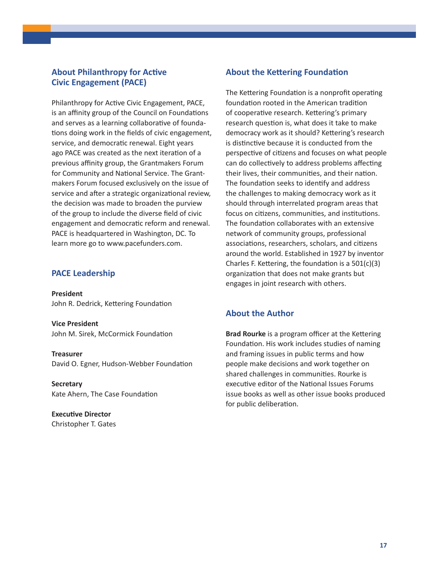#### **About Philanthropy for Active Civic Engagement (PACE)**

Philanthropy for Active Civic Engagement, PACE, is an affinity group of the Council on Foundations and serves as a learning collaborative of foundations doing work in the fields of civic engagement, service, and democratic renewal. Eight years ago PACE was created as the next iteration of a previous affinity group, the Grantmakers Forum for Community and National Service. The Grantmakers Forum focused exclusively on the issue of service and after a strategic organizational review, the decision was made to broaden the purview of the group to include the diverse field of civic engagement and democratic reform and renewal. PACE is headquartered in Washington, DC. To learn more go to www.pacefunders.com.

#### **PACE Leadership**

**President**  John R. Dedrick, Kettering Foundation

**Vice President**  John M. Sirek, McCormick Foundation

**Treasurer** David O. Egner, Hudson-Webber Foundation

**Secretary** Kate Ahern, The Case Foundation

**Executive Director**  Christopher T. Gates

#### **About the Kettering Foundation**

The Kettering Foundation is a nonprofit operating foundation rooted in the American tradition of cooperative research. Kettering's primary research question is, what does it take to make democracy work as it should? Kettering's research is distinctive because it is conducted from the perspective of citizens and focuses on what people can do collectively to address problems affecting their lives, their communities, and their nation. The foundation seeks to identify and address the challenges to making democracy work as it should through interrelated program areas that focus on citizens, communities, and institutions. The foundation collaborates with an extensive network of community groups, professional associations, researchers, scholars, and citizens around the world. Established in 1927 by inventor Charles F. Kettering, the foundation is a 501(c)(3) organization that does not make grants but engages in joint research with others.

#### **About the Author**

**Brad Rourke** is a program officer at the Kettering Foundation. His work includes studies of naming and framing issues in public terms and how people make decisions and work together on shared challenges in communities. Rourke is executive editor of the National Issues Forums issue books as well as other issue books produced for public deliberation.